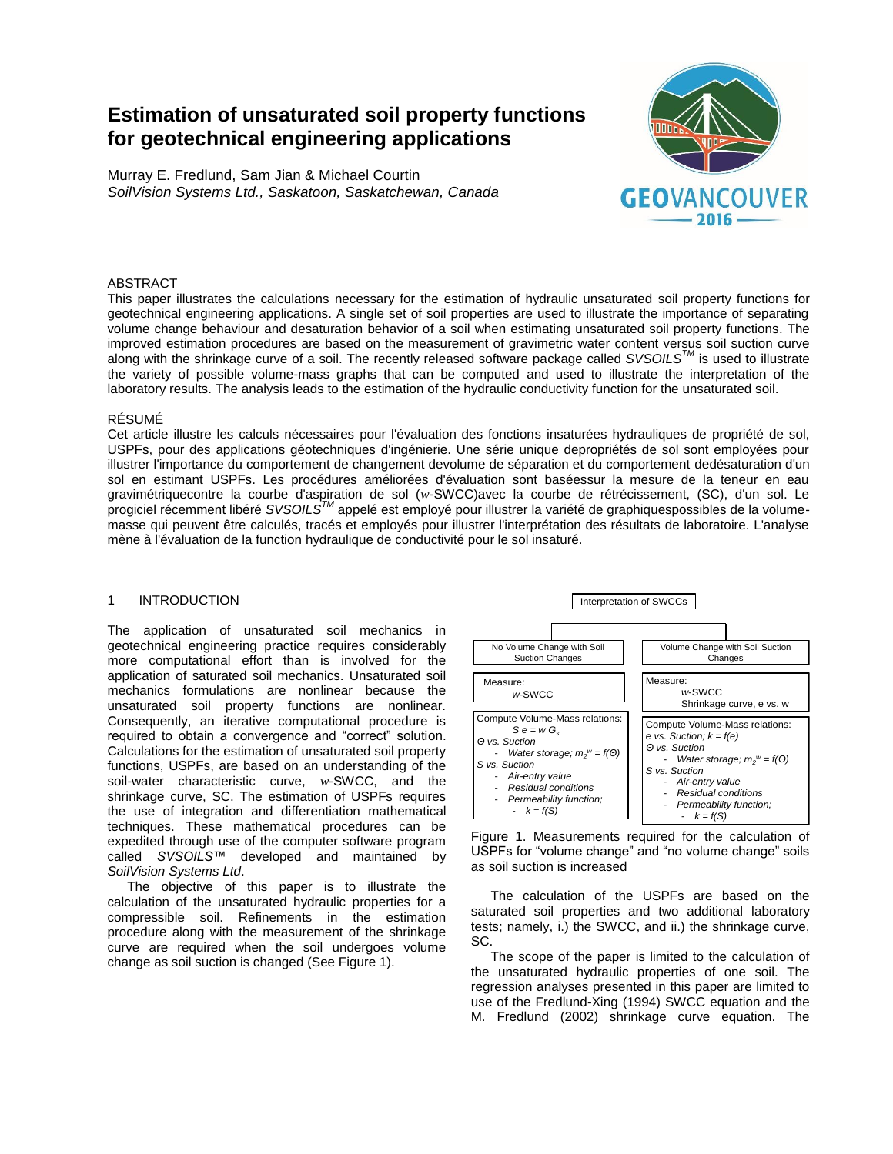# **Estimation of unsaturated soil property functions for geotechnical engineering applications**

Murray E. Fredlund, Sam Jian & Michael Courtin *SoilVision Systems Ltd., Saskatoon, Saskatchewan, Canada*



## ABSTRACT

This paper illustrates the calculations necessary for the estimation of hydraulic unsaturated soil property functions for geotechnical engineering applications. A single set of soil properties are used to illustrate the importance of separating volume change behaviour and desaturation behavior of a soil when estimating unsaturated soil property functions. The improved estimation procedures are based on the measurement of gravimetric water content versus soil suction curve along with the shrinkage curve of a soil. The recently released software package called *SVSOILSTM* is used to illustrate the variety of possible volume-mass graphs that can be computed and used to illustrate the interpretation of the laboratory results. The analysis leads to the estimation of the hydraulic conductivity function for the unsaturated soil.

## RÉSUMÉ

Cet article illustre les calculs nécessaires pour l'évaluation des fonctions insaturées hydrauliques de propriété de sol, USPFs, pour des applications géotechniques d'ingénierie. Une série unique depropriétés de sol sont employées pour illustrer l'importance du comportement de changement devolume de séparation et du comportement dedésaturation d'un sol en estimant USPFs. Les procédures améliorées d'évaluation sont baséessur la mesure de la teneur en eau gravimétriquecontre la courbe d'aspiration de sol (*w*-SWCC)avec la courbe de rétrécissement, (SC), d'un sol. Le progiciel récemment libéré *SVSOILSTM* appelé est employé pour illustrer la variété de graphiquespossibles de la volumemasse qui peuvent être calculés, tracés et employés pour illustrer l'interprétation des résultats de laboratoire. L'analyse mène à l'évaluation de la function hydraulique de conductivité pour le sol insaturé.

## 1 INTRODUCTION

The application of unsaturated soil mechanics in geotechnical engineering practice requires considerably more computational effort than is involved for the application of saturated soil mechanics. Unsaturated soil mechanics formulations are nonlinear because the unsaturated soil property functions are nonlinear. Consequently, an iterative computational procedure is required to obtain a convergence and "correct" solution. Calculations for the estimation of unsaturated soil property functions, USPFs, are based on an understanding of the soil-water characteristic curve, *w*-SWCC, and the shrinkage curve, SC. The estimation of USPFs requires the use of integration and differentiation mathematical techniques. These mathematical procedures can be expedited through use of the computer software program called *SVSOILS™* developed and maintained by *SoilVision Systems Ltd*.

The objective of this paper is to illustrate the calculation of the unsaturated hydraulic properties for a compressible soil. Refinements in the estimation procedure along with the measurement of the shrinkage curve are required when the soil undergoes volume change as soil suction is changed (See Figure 1).



Figure 1. Measurements required for the calculation of USPFs for "volume change" and "no volume change" soils as soil suction is increased

The calculation of the USPFs are based on the saturated soil properties and two additional laboratory tests; namely, i.) the SWCC, and ii.) the shrinkage curve, SC.

The scope of the paper is limited to the calculation of the unsaturated hydraulic properties of one soil. The regression analyses presented in this paper are limited to use of the Fredlund-Xing (1994) SWCC equation and the M. Fredlund (2002) shrinkage curve equation. The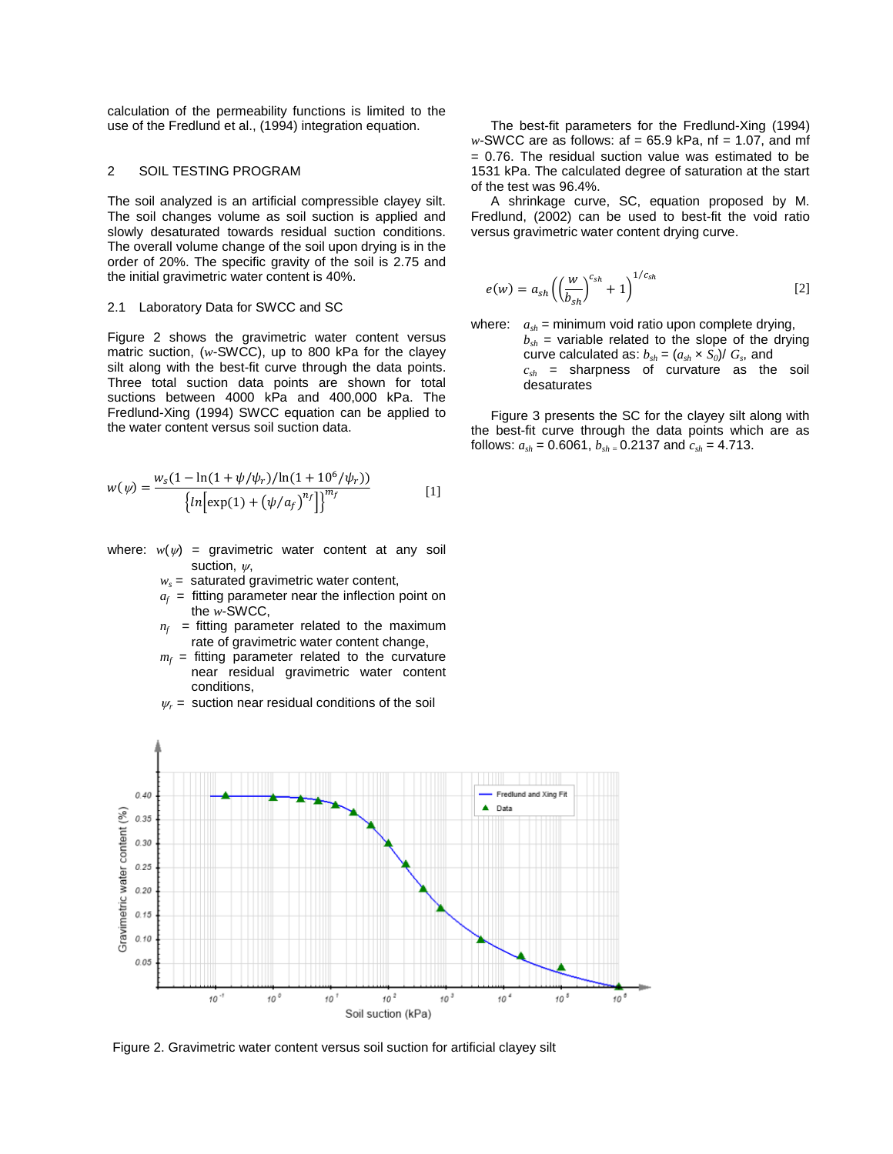calculation of the permeability functions is limited to the use of the Fredlund et al., (1994) integration equation.

#### 2 SOIL TESTING PROGRAM

The soil analyzed is an artificial compressible clayey silt. The soil changes volume as soil suction is applied and slowly desaturated towards residual suction conditions. The overall volume change of the soil upon drying is in the order of 20%. The specific gravity of the soil is 2.75 and the initial gravimetric water content is 40%.

#### 2.1 Laboratory Data for SWCC and SC

Figure 2 shows the gravimetric water content versus matric suction, (*w*-SWCC), up to 800 kPa for the clayey silt along with the best-fit curve through the data points. Three total suction data points are shown for total suctions between 4000 kPa and 400,000 kPa. The Fredlund-Xing (1994) SWCC equation can be applied to the water content versus soil suction data.

$$
w(\psi) = \frac{w_s (1 - \ln(1 + \psi/\psi_r)/\ln(1 + 10^6/\psi_r))}{\left\{ \ln \left[ \exp(1) + (\psi/a_f)^{n_f} \right] \right\}^{m_f}}
$$
 [1]

- where:  $w(\psi)$  = gravimetric water content at any soil suction,  $\nu$ .
	- $w_s$  = saturated gravimetric water content,
	- $a_f$  = fitting parameter near the inflection point on the *w*-SWCC,
	- $n_f$  = fitting parameter related to the maximum rate of gravimetric water content change,
	- $m_f$  = fitting parameter related to the curvature near residual gravimetric water content conditions,
	- $\psi_r$  = suction near residual conditions of the soil

The best-fit parameters for the Fredlund-Xing (1994) *w*-SWCC are as follows: af = 65.9 kPa, nf = 1.07, and mf = 0.76. The residual suction value was estimated to be 1531 kPa. The calculated degree of saturation at the start of the test was 96.4%.

A shrinkage curve, SC, equation proposed by M. Fredlund, (2002) can be used to best-fit the void ratio versus gravimetric water content drying curve.

$$
e(w) = a_{sh} \left( \left( \frac{w}{b_{sh}} \right)^{c_{sh}} + 1 \right)^{1/c_{sh}} \tag{2}
$$

where:  $a_{sh}$  = minimum void ratio upon complete drying,

 $b_{sh}$  = variable related to the slope of the drying curve calculated as:  $b_{sh} = (a_{sh} \times S_0)/G_s$ , and *csh* = sharpness of curvature as the soil desaturates

Figure 3 presents the SC for the clayey silt along with the best-fit curve through the data points which are as follows:  $a_{sh}$  = 0.6061,  $b_{sh}$  = 0.2137 and  $c_{sh}$  = 4.713.



Figure 2. Gravimetric water content versus soil suction for artificial clayey silt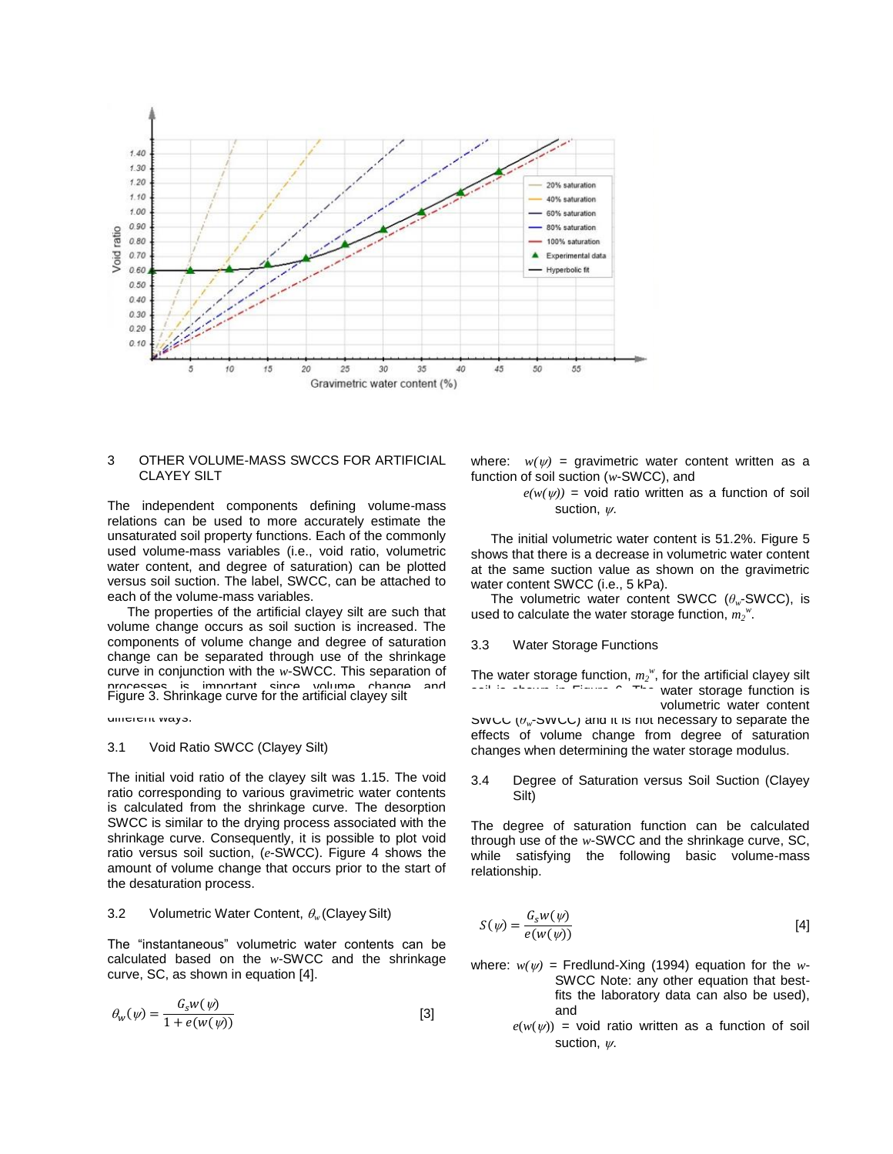

#### 3 OTHER VOLUME-MASS SWCCS FOR ARTIFICIAL CLAYEY SILT

The independent components defining volume-mass relations can be used to more accurately estimate the unsaturated soil property functions. Each of the commonly used volume-mass variables (i.e., void ratio, volumetric water content, and degree of saturation) can be plotted versus soil suction. The label, SWCC, can be attached to each of the volume-mass variables.

The properties of the artificial clayey silt are such that volume change occurs as soil suction is increased. The components of volume change and degree of saturation change can be separated through use of the shrinkage curve in conjunction with the *w*-SWCC. This separation of processes is important since volume change and Figure 3. Shrinkage curve for the artificial clayey silt

different ways.

#### 3.1 Void Ratio SWCC (Clayey Silt)

The initial void ratio of the clayey silt was 1.15. The void ratio corresponding to various gravimetric water contents is calculated from the shrinkage curve. The desorption SWCC is similar to the drying process associated with the shrinkage curve. Consequently, it is possible to plot void ratio versus soil suction, (*e*-SWCC). Figure 4 shows the amount of volume change that occurs prior to the start of the desaturation process.

#### 3.2 Volumetric Water Content,  $\theta_w$  (Clayey Silt)

The "instantaneous" volumetric water contents can be calculated based on the *w*-SWCC and the shrinkage curve, SC, as shown in equation [4].

$$
\theta_{w}(\psi) = \frac{G_{s}w(\psi)}{1 + e(w(\psi))}
$$
 [3]

where:  $w(w)$  = gravimetric water content written as a function of soil suction (*w*-SWCC), and

> $e(w(w))$  = void ratio written as a function of soil suction,  $w$ .

The initial volumetric water content is 51.2%. Figure 5 shows that there is a decrease in volumetric water content at the same suction value as shown on the gravimetric water content SWCC (i.e., 5 kPa).

The volumetric water content SWCC (*θw*-SWCC), is used to calculate the water storage function,  $m_2^w$ .

#### 3.3 Water Storage Functions

The water storage function,  $m_2^w$ , for the artificial clayey silt water storage function is volumetric water content SWCC (*θw*-SWCC) and it is not necessary to separate the effects of volume change from degree of saturation

changes when determining the water storage modulus.

## 3.4 Degree of Saturation versus Soil Suction (Clayey Silt)

The degree of saturation function can be calculated through use of the *w*-SWCC and the shrinkage curve, SC, while satisfying the following basic volume-mass relationship.

$$
S(\psi) = \frac{G_s w(\psi)}{e(w(\psi))}
$$
 [4]

where:  $w(\psi)$  = Fredlund-Xing (1994) equation for the *w*-SWCC Note: any other equation that bestfits the laboratory data can also be used), and

> $e(w(y))$  = void ratio written as a function of soil suction,  $\nu$ .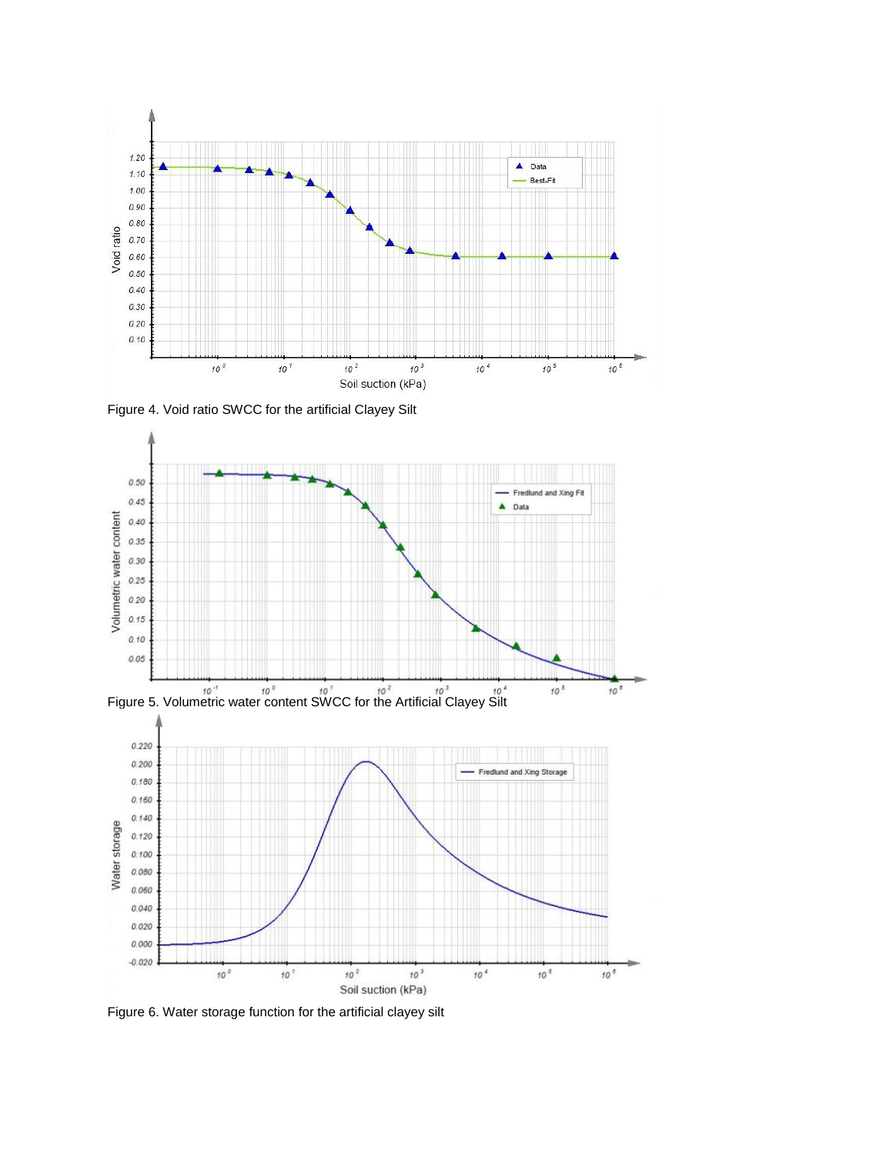

Figure 4. Void ratio SWCC for the artificial Clayey Silt







Figure 6. Water storage function for the artificial clayey silt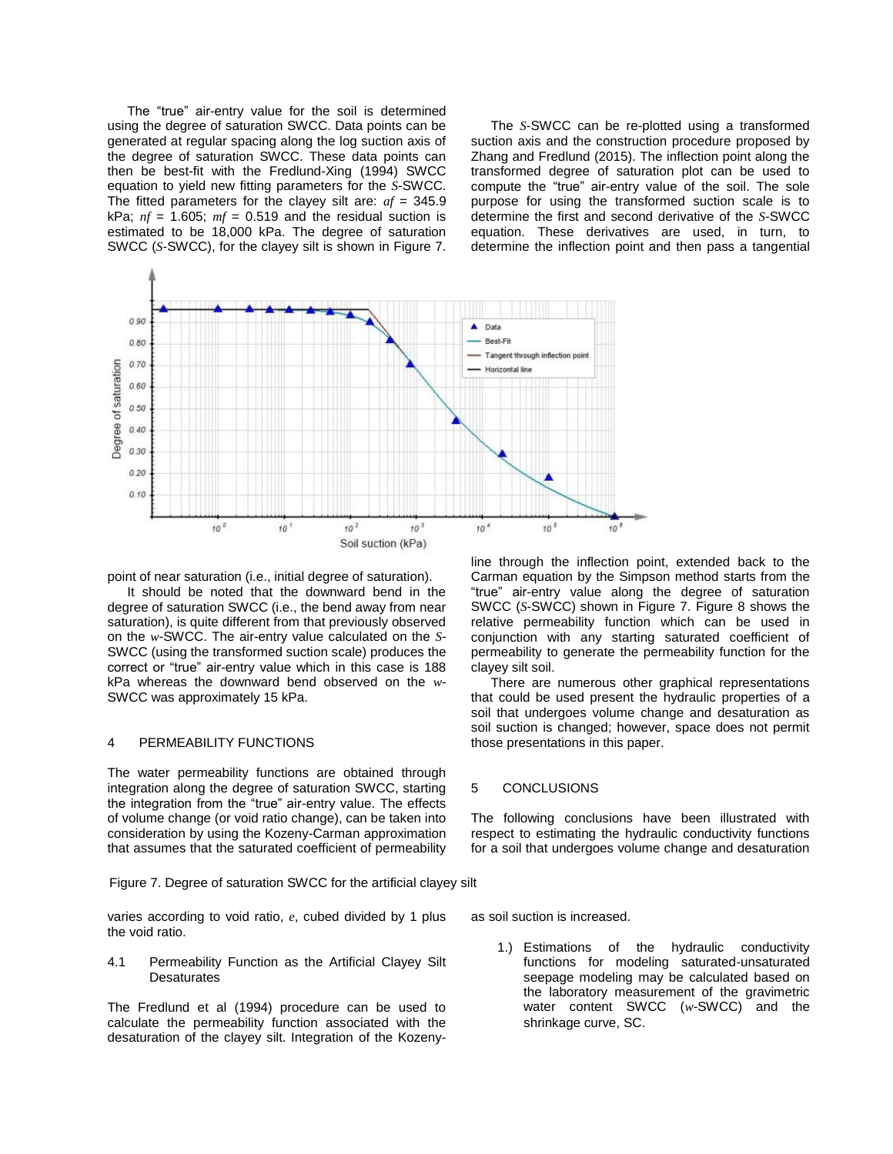The "true" air-entry value for the soil is determined using the degree of saturation SWCC. Data points can be generated at regular spacing along the log suction axis of the degree of saturation SWCC. These data points can then be best-fit with the Fredlund-Xing (1994) SWCC equation to yield new fitting parameters for the *S*-SWCC. The fitted parameters for the clayey silt are: *af* = 345.9 kPa;  $nf = 1.605$ ;  $mf = 0.519$  and the residual suction is estimated to be 18,000 kPa. The degree of saturation SWCC (*S*-SWCC), for the clayey silt is shown in Figure 7.

The *S*-SWCC can be re-plotted using a transformed suction axis and the construction procedure proposed by Zhang and Fredlund (2015). The inflection point along the transformed degree of saturation plot can be used to compute the "true" air-entry value of the soil. The sole purpose for using the transformed suction scale is to determine the first and second derivative of the *S*-SWCC equation. These derivatives are used, in turn, to determine the inflection point and then pass a tangential



point of near saturation (i.e., initial degree of saturation).

It should be noted that the downward bend in the degree of saturation SWCC (i.e., the bend away from near saturation), is quite different from that previously observed on the *w*-SWCC. The air-entry value calculated on the *S*-SWCC (using the transformed suction scale) produces the correct or "true" air-entry value which in this case is 188 kPa whereas the downward bend observed on the *w*-SWCC was approximately 15 kPa.

### 4 PERMEABILITY FUNCTIONS

The water permeability functions are obtained through integration along the degree of saturation SWCC, starting the integration from the "true" air-entry value. The effects of volume change (or void ratio change), can be taken into consideration by using the Kozeny-Carman approximation that assumes that the saturated coefficient of permeability

Figure 7. Degree of saturation SWCC for the artificial clayey silt

varies according to void ratio, *e*, cubed divided by 1 plus the void ratio.

4.1 Permeability Function as the Artificial Clayey Silt **Desaturates** 

The Fredlund et al (1994) procedure can be used to calculate the permeability function associated with the desaturation of the clayey silt. Integration of the Kozenyline through the inflection point, extended back to the Carman equation by the Simpson method starts from the "true" air-entry value along the degree of saturation SWCC (*S*-SWCC) shown in Figure 7. Figure 8 shows the relative permeability function which can be used in conjunction with any starting saturated coefficient of permeability to generate the permeability function for the clayey silt soil.

There are numerous other graphical representations that could be used present the hydraulic properties of a soil that undergoes volume change and desaturation as soil suction is changed; however, space does not permit those presentations in this paper.

#### 5 CONCLUSIONS

The following conclusions have been illustrated with respect to estimating the hydraulic conductivity functions for a soil that undergoes volume change and desaturation

as soil suction is increased.

1.) Estimations of the hydraulic conductivity functions for modeling saturated-unsaturated seepage modeling may be calculated based on the laboratory measurement of the gravimetric water content SWCC (*w*-SWCC) and the shrinkage curve, SC.